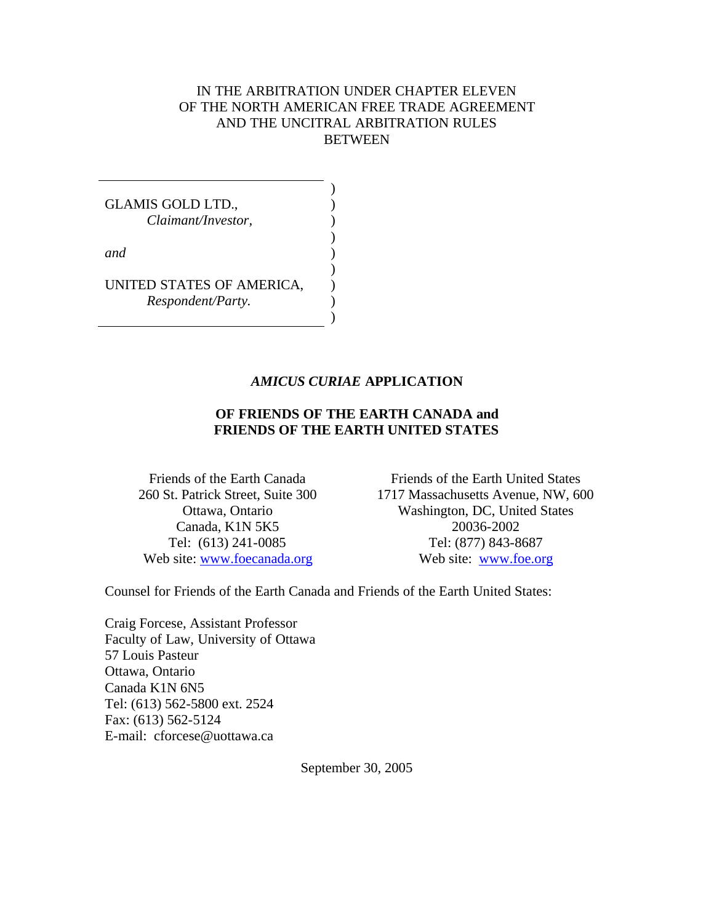## IN THE ARBITRATION UNDER CHAPTER ELEVEN OF THE NORTH AMERICAN FREE TRADE AGREEMENT AND THE UNCITRAL ARBITRATION RULES BETWEEN

GLAMIS GOLD LTD., *Claimant/Investor, and* UNITED STATES OF AMERICA, *Respondent/Party.* ) ) ) ) ) ) ) ) )

#### *AMICUS CURIAE* **APPLICATION**

## **OF FRIENDS OF THE EARTH CANADA and FRIENDS OF THE EARTH UNITED STATES**

Friends of the Earth Canada 260 St. Patrick Street, Suite 300 Ottawa, Ontario Canada, K1N 5K5 Tel: (613) 241-0085 Web site: www.foecanada.org

Friends of the Earth United States 1717 Massachusetts Avenue, NW, 600 Washington, DC, United States 20036-2002 Tel: (877) 843-8687 Web site: www.foe.org

Counsel for Friends of the Earth Canada and Friends of the Earth United States:

Craig Forcese, Assistant Professor Faculty of Law, University of Ottawa 57 Louis Pasteur Ottawa, Ontario Canada K1N 6N5 Tel: (613) 562-5800 ext. 2524 Fax: (613) 562-5124 E-mail: cforcese@uottawa.ca

September 30, 2005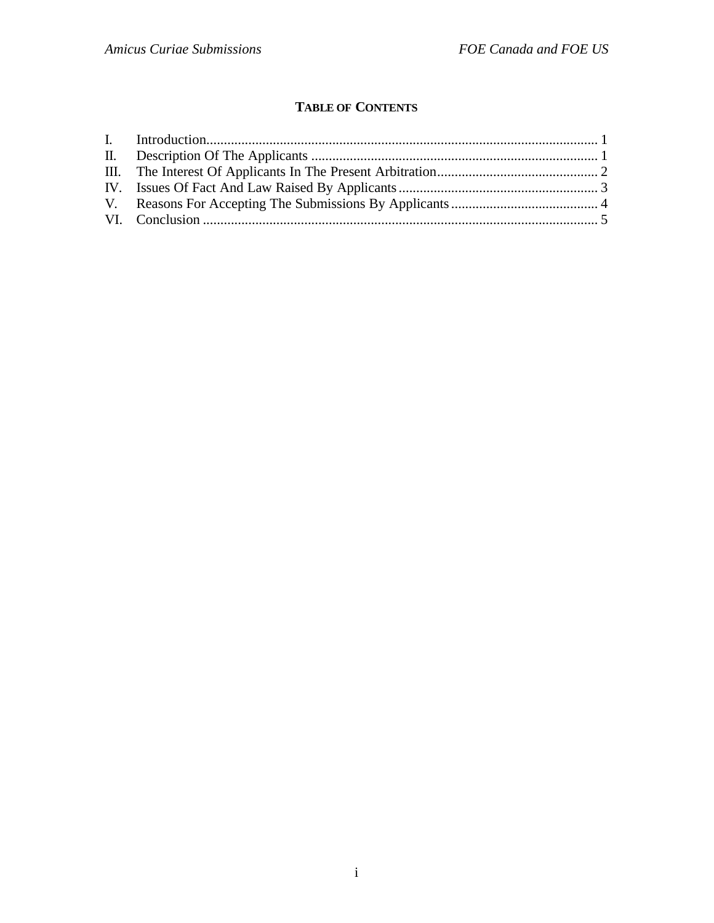# **TABLE OF CONTENTS**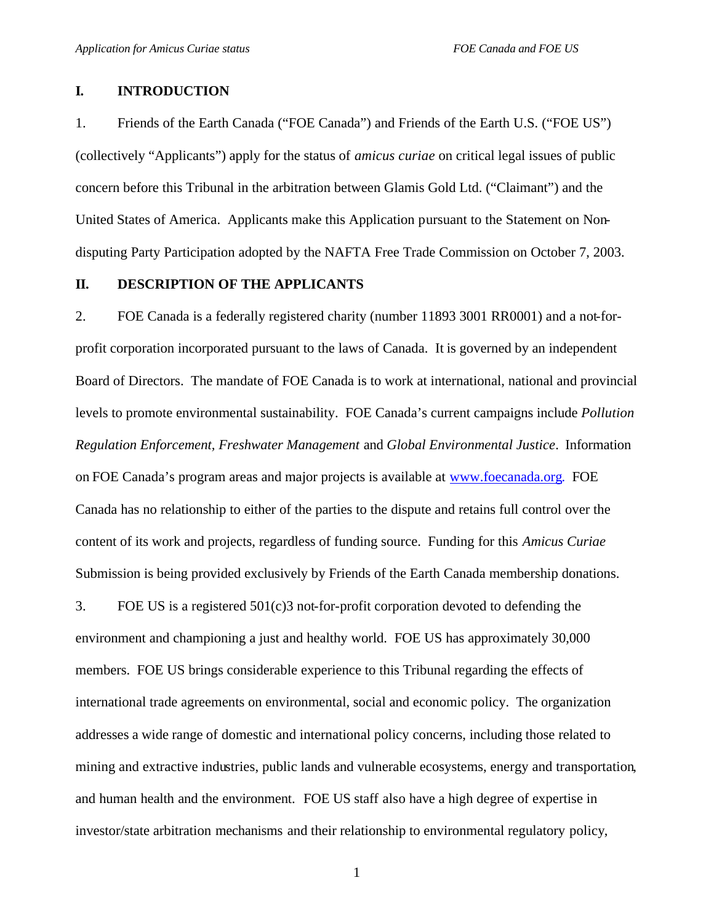#### **I. INTRODUCTION**

1. Friends of the Earth Canada ("FOE Canada") and Friends of the Earth U.S. ("FOE US") (collectively "Applicants") apply for the status of *amicus curiae* on critical legal issues of public concern before this Tribunal in the arbitration between Glamis Gold Ltd. ("Claimant") and the United States of America. Applicants make this Application pursuant to the Statement on Nondisputing Party Participation adopted by the NAFTA Free Trade Commission on October 7, 2003.

#### **II. DESCRIPTION OF THE APPLICANTS**

2. FOE Canada is a federally registered charity (number 11893 3001 RR0001) and a not-forprofit corporation incorporated pursuant to the laws of Canada. It is governed by an independent Board of Directors. The mandate of FOE Canada is to work at international, national and provincial levels to promote environmental sustainability. FOE Canada's current campaigns include *Pollution Regulation Enforcement, Freshwater Management* and *Global Environmental Justice*. Information on FOE Canada's program areas and major projects is available at www.foecanada.org. FOE Canada has no relationship to either of the parties to the dispute and retains full control over the content of its work and projects, regardless of funding source. Funding for this *Amicus Curiae*  Submission is being provided exclusively by Friends of the Earth Canada membership donations.

3. FOE US is a registered 501(c)3 not-for-profit corporation devoted to defending the environment and championing a just and healthy world. FOE US has approximately 30,000 members. FOE US brings considerable experience to this Tribunal regarding the effects of international trade agreements on environmental, social and economic policy. The organization addresses a wide range of domestic and international policy concerns, including those related to mining and extractive industries, public lands and vulnerable ecosystems, energy and transportation, and human health and the environment. FOE US staff also have a high degree of expertise in investor/state arbitration mechanisms and their relationship to environmental regulatory policy,

1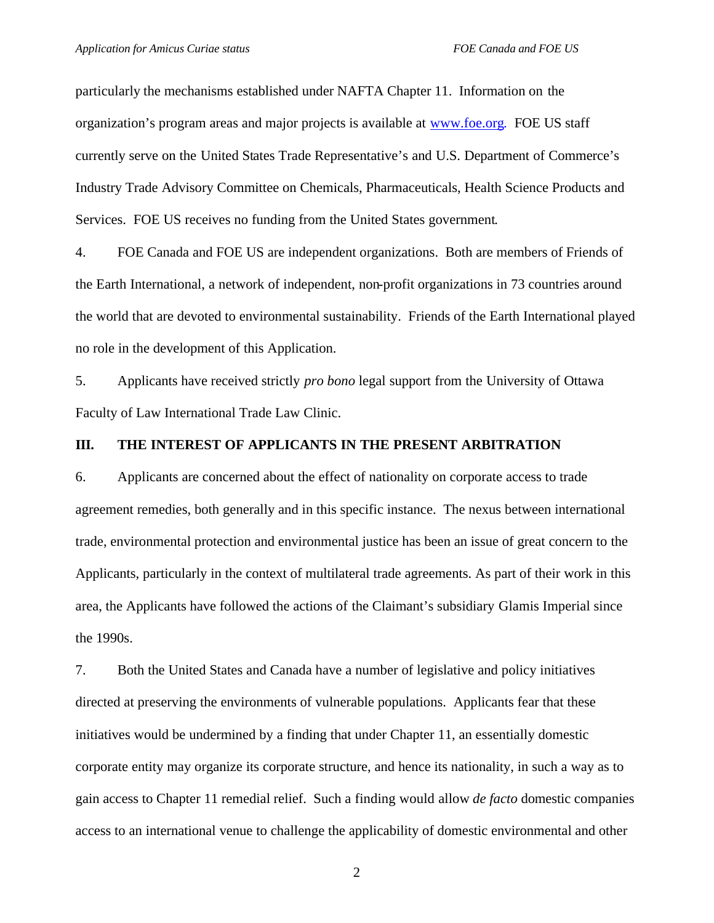particularly the mechanisms established under NAFTA Chapter 11. Information on the organization's program areas and major projects is available at www.foe.org. FOE US staff currently serve on the United States Trade Representative's and U.S. Department of Commerce's Industry Trade Advisory Committee on Chemicals, Pharmaceuticals, Health Science Products and Services. FOE US receives no funding from the United States government.

4. FOE Canada and FOE US are independent organizations. Both are members of Friends of the Earth International, a network of independent, non-profit organizations in 73 countries around the world that are devoted to environmental sustainability. Friends of the Earth International played no role in the development of this Application.

5. Applicants have received strictly *pro bono* legal support from the University of Ottawa Faculty of Law International Trade Law Clinic.

## **III. THE INTEREST OF APPLICANTS IN THE PRESENT ARBITRATION**

6. Applicants are concerned about the effect of nationality on corporate access to trade agreement remedies, both generally and in this specific instance. The nexus between international trade, environmental protection and environmental justice has been an issue of great concern to the Applicants, particularly in the context of multilateral trade agreements. As part of their work in this area, the Applicants have followed the actions of the Claimant's subsidiary Glamis Imperial since the 1990s.

7. Both the United States and Canada have a number of legislative and policy initiatives directed at preserving the environments of vulnerable populations. Applicants fear that these initiatives would be undermined by a finding that under Chapter 11, an essentially domestic corporate entity may organize its corporate structure, and hence its nationality, in such a way as to gain access to Chapter 11 remedial relief. Such a finding would allow *de facto* domestic companies access to an international venue to challenge the applicability of domestic environmental and other

2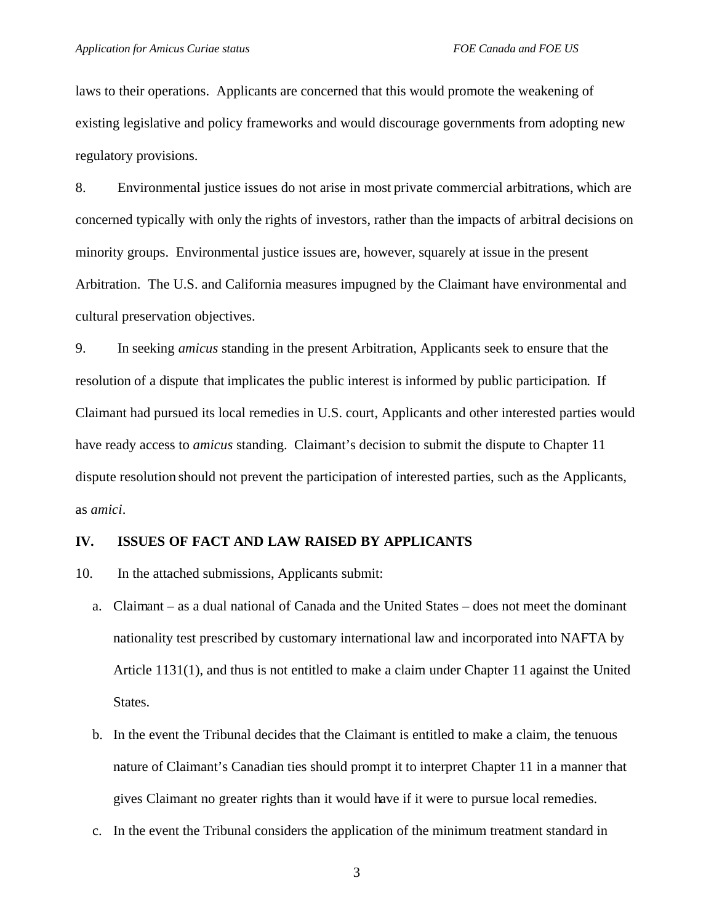laws to their operations. Applicants are concerned that this would promote the weakening of existing legislative and policy frameworks and would discourage governments from adopting new regulatory provisions.

8. Environmental justice issues do not arise in most private commercial arbitrations, which are concerned typically with only the rights of investors, rather than the impacts of arbitral decisions on minority groups. Environmental justice issues are, however, squarely at issue in the present Arbitration. The U.S. and California measures impugned by the Claimant have environmental and cultural preservation objectives.

9. In seeking *amicus* standing in the present Arbitration, Applicants seek to ensure that the resolution of a dispute that implicates the public interest is informed by public participation. If Claimant had pursued its local remedies in U.S. court, Applicants and other interested parties would have ready access to *amicus* standing. Claimant's decision to submit the dispute to Chapter 11 dispute resolution should not prevent the participation of interested parties, such as the Applicants, as *amici*.

#### **IV. ISSUES OF FACT AND LAW RAISED BY APPLICANTS**

- 10. In the attached submissions, Applicants submit:
	- a. Claimant as a dual national of Canada and the United States does not meet the dominant nationality test prescribed by customary international law and incorporated into NAFTA by Article 1131(1), and thus is not entitled to make a claim under Chapter 11 against the United States.
	- b. In the event the Tribunal decides that the Claimant is entitled to make a claim, the tenuous nature of Claimant's Canadian ties should prompt it to interpret Chapter 11 in a manner that gives Claimant no greater rights than it would have if it were to pursue local remedies.
	- c. In the event the Tribunal considers the application of the minimum treatment standard in

3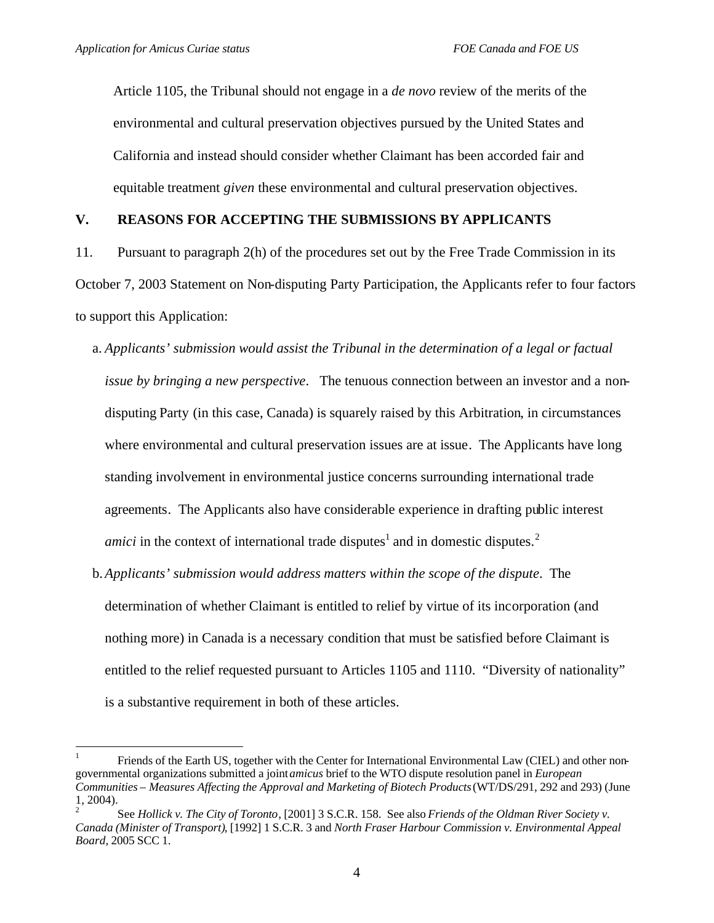$\overline{a}$ 

Article 1105, the Tribunal should not engage in a *de novo* review of the merits of the environmental and cultural preservation objectives pursued by the United States and California and instead should consider whether Claimant has been accorded fair and equitable treatment *given* these environmental and cultural preservation objectives.

## **V. REASONS FOR ACCEPTING THE SUBMISSIONS BY APPLICANTS**

11. Pursuant to paragraph 2(h) of the procedures set out by the Free Trade Commission in its October 7, 2003 Statement on Non-disputing Party Participation, the Applicants refer to four factors to support this Application:

- a. *Applicants' submission would assist the Tribunal in the determination of a legal or factual issue by bringing a new perspective*. The tenuous connection between an investor and a nondisputing Party (in this case, Canada) is squarely raised by this Arbitration, in circumstances where environmental and cultural preservation issues are at issue. The Applicants have long standing involvement in environmental justice concerns surrounding international trade agreements. The Applicants also have considerable experience in drafting public interest *amici* in the context of international trade disputes<sup>1</sup> and in domestic disputes.<sup>2</sup>
- b.*Applicants' submission would address matters within the scope of the dispute*. The determination of whether Claimant is entitled to relief by virtue of its incorporation (and nothing more) in Canada is a necessary condition that must be satisfied before Claimant is entitled to the relief requested pursuant to Articles 1105 and 1110. "Diversity of nationality" is a substantive requirement in both of these articles.

<sup>1</sup> Friends of the Earth US, together with the Center for International Environmental Law (CIEL) and other nongovernmental organizations submitted a joint *amicus* brief to the WTO dispute resolution panel in *European Communities – Measures Affecting the Approval and Marketing of Biotech Products* (WT/DS/291, 292 and 293) (June 1, 2004).

<sup>2</sup> See *Hollick v. The City of Toronto*, [2001] 3 S.C.R. 158. See also *Friends of the Oldman River Society v. Canada (Minister of Transport)*, [1992] 1 S.C.R. 3 and *North Fraser Harbour Commission v. Environmental Appeal Board*, 2005 SCC 1.